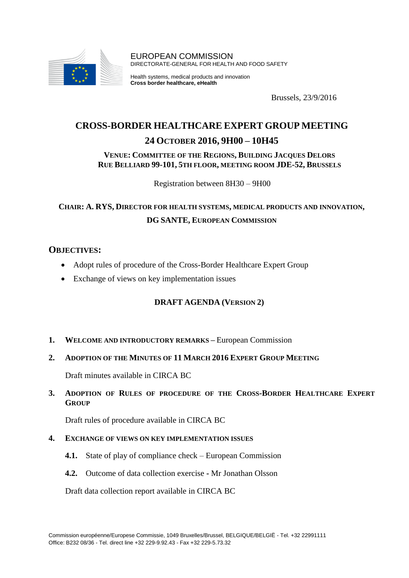

EUROPEAN COMMISSION DIRECTORATE-GENERAL FOR HEALTH AND FOOD SAFETY

Health systems, medical products and innovation **Cross border healthcare, eHealth**

Brussels, 23/9/2016

## **CROSS-BORDER HEALTHCARE EXPERT GROUP MEETING**

## **24 OCTOBER 2016, 9H00 – 10H45**

#### **VENUE: COMMITTEE OF THE REGIONS, BUILDING JACQUES DELORS RUE BELLIARD 99-101, 5TH FLOOR, MEETING ROOM JDE-52, BRUSSELS**

Registration between 8H30 – 9H00

# **CHAIR: A. RYS, DIRECTOR FOR HEALTH SYSTEMS, MEDICAL PRODUCTS AND INNOVATION, DG SANTE, EUROPEAN COMMISSION**

## **OBJECTIVES:**

- Adopt rules of procedure of the Cross-Border Healthcare Expert Group
- Exchange of views on key implementation issues

#### **DRAFT AGENDA (VERSION 2)**

1. **WELCOME AND INTRODUCTORY REMARKS – European Commission** 

#### **2. ADOPTION OF THE MINUTES OF 11 MARCH 2016 EXPERT GROUP MEETING**

Draft minutes available in CIRCA BC

## **3. ADOPTION OF RULES OF PROCEDURE OF THE CROSS-BORDER HEALTHCARE EXPERT GROUP**

Draft rules of procedure available in CIRCA BC

#### **4. EXCHANGE OF VIEWS ON KEY IMPLEMENTATION ISSUES**

- **4.1.** State of play of compliance check European Commission
- **4.2.** Outcome of data collection exercise **-** Mr Jonathan Olsson

Draft data collection report available in CIRCA BC